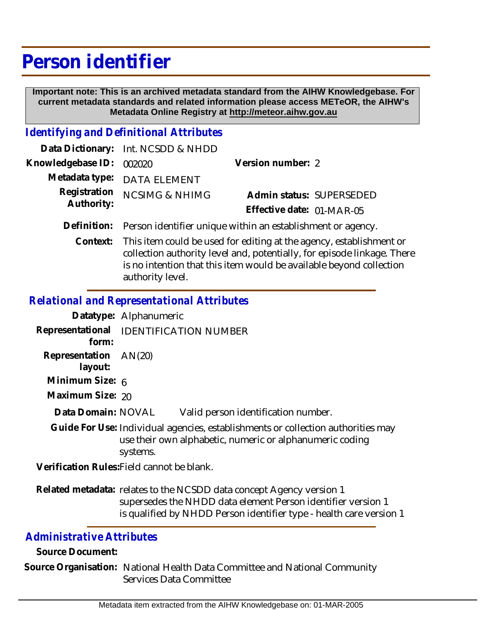# **Person identifier**

 **Important note: This is an archived metadata standard from the AIHW Knowledgebase. For current metadata standards and related information please access METeOR, the AIHW's Metadata Online Registry at http://meteor.aihw.gov.au**

### *Identifying and Definitional Attributes*

|                            | Data Dictionary: Int. NCSDD & NHDD                                        |                                                       |  |
|----------------------------|---------------------------------------------------------------------------|-------------------------------------------------------|--|
| Knowledgebase ID:          | 002020                                                                    | Version number: 2                                     |  |
|                            | Metadata type: DATA ELEMENT                                               |                                                       |  |
| Registration<br>Authority: | <b>NCSIMG &amp; NHIMG</b>                                                 | Admin status: SUPERSEDED<br>Effective date: 01-MAR-05 |  |
|                            | Definition: Person identifier unique within an establishment or agency.   |                                                       |  |
|                            | $Contout$ . This item sould be used for editing at the agency established |                                                       |  |

Context: This item could be used for editing at the agency, establishment or collection authority level and, potentially, for episode linkage. There is no intention that this item would be available beyond collection authority level.

## *Relational and Representational Attributes*

|                                  | Datatype: Alphanumeric                                                                                                                                                                                      |
|----------------------------------|-------------------------------------------------------------------------------------------------------------------------------------------------------------------------------------------------------------|
| form:                            | Representational IDENTIFICATION NUMBER                                                                                                                                                                      |
| Representation AN(20)<br>layout: |                                                                                                                                                                                                             |
| Minimum Size: 6                  |                                                                                                                                                                                                             |
| Maximum Size: 20                 |                                                                                                                                                                                                             |
| Data Domain: NOVAL               | Valid person identification number.                                                                                                                                                                         |
|                                  | Guide For Use: Individual agencies, establishments or collection authorities may<br>use their own alphabetic, numeric or alphanumeric coding<br>systems.                                                    |
|                                  | Verification Rules: Field cannot be blank.                                                                                                                                                                  |
|                                  | Related metadata: relates to the NCSDD data concept Agency version 1<br>supersedes the NHDD data element Person identifier version 1<br>is qualified by NHDD Person identifier type - health care version 1 |

### *Administrative Attributes*

**Source Document:**

Source Organisation: National Health Data Committee and National Community Services Data Committee